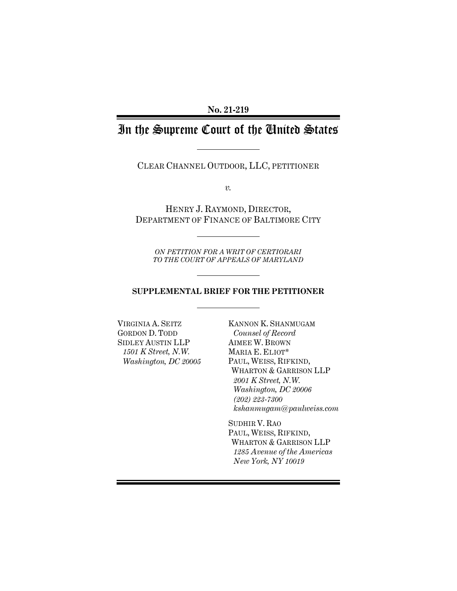## In the Supreme Court of the United States

CLEAR CHANNEL OUTDOOR, LLC, PETITIONER

*v.*

HENRY J. RAYMOND, DIRECTOR, DEPARTMENT OF FINANCE OF BALTIMORE CITY

*ON PETITION FOR A WRIT OF CERTIORARI TO THE COURT OF APPEALS OF MARYLAND*

## **SUPPLEMENTAL BRIEF FOR THE PETITIONER**

VIRGINIA A. SEITZ GORDON D. TODD SIDLEY AUSTIN LLP *1501 K Street, N.W. Washington, DC 20005* KANNON K. SHANMUGAM *Counsel of Record* AIMEE W. BROWN MARIA E. ELIOT\* PAUL, WEISS, RIFKIND, WHARTON & GARRISON LLP *2001 K Street, N.W. Washington, DC 20006 (202) 223-7300 kshanmugam@paulweiss.com*

SUDHIR V. RAO PAUL, WEISS, RIFKIND, WHARTON & GARRISON LLP *1285 Avenue of the Americas New York, NY 10019*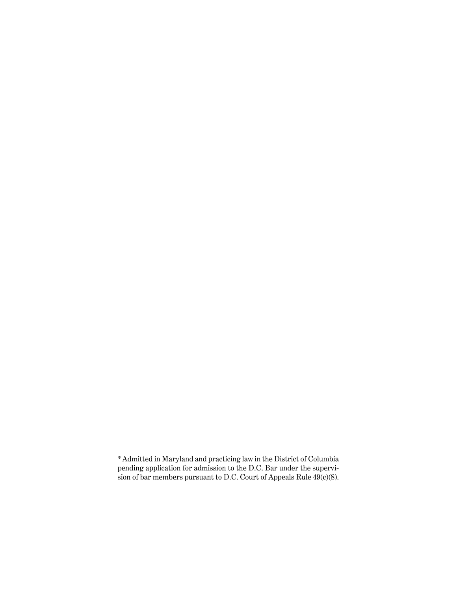\*Admitted in Maryland and practicing law in the District of Columbia pending application for admission to the D.C. Bar under the supervision of bar members pursuant to D.C. Court of Appeals Rule 49(c)(8).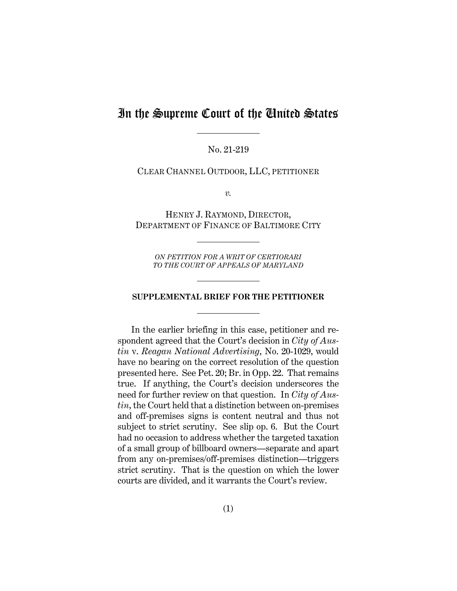## In the Supreme Court of the United States

No. 21-219

CLEAR CHANNEL OUTDOOR, LLC, PETITIONER

*v.*

HENRY J. RAYMOND, DIRECTOR, DEPARTMENT OF FINANCE OF BALTIMORE CITY

*ON PETITION FOR A WRIT OF CERTIORARI TO THE COURT OF APPEALS OF MARYLAND*

## **SUPPLEMENTAL BRIEF FOR THE PETITIONER**

In the earlier briefing in this case, petitioner and respondent agreed that the Court's decision in *City of Austin* v. *Reagan National Advertising*, No. 20-1029, would have no bearing on the correct resolution of the question presented here. See Pet. 20; Br. in Opp. 22. That remains true. If anything, the Court's decision underscores the need for further review on that question. In *City of Austin*, the Court held that a distinction between on-premises and off-premises signs is content neutral and thus not subject to strict scrutiny. See slip op. 6. But the Court had no occasion to address whether the targeted taxation of a small group of billboard owners—separate and apart from any on-premises/off-premises distinction—triggers strict scrutiny. That is the question on which the lower courts are divided, and it warrants the Court's review.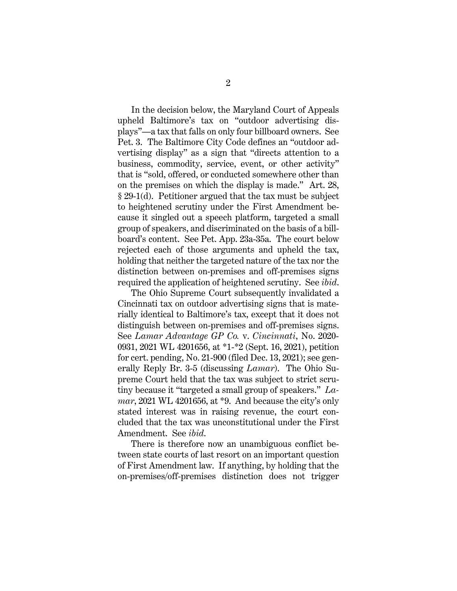In the decision below, the Maryland Court of Appeals upheld Baltimore's tax on "outdoor advertising displays"—a tax that falls on only four billboard owners. See Pet. 3. The Baltimore City Code defines an "outdoor advertising display" as a sign that "directs attention to a business, commodity, service, event, or other activity" that is "sold, offered, or conducted somewhere other than on the premises on which the display is made." Art. 28, § 29-1(d). Petitioner argued that the tax must be subject to heightened scrutiny under the First Amendment because it singled out a speech platform, targeted a small group of speakers, and discriminated on the basis of a billboard's content. See Pet. App. 23a-35a. The court below rejected each of those arguments and upheld the tax, holding that neither the targeted nature of the tax nor the distinction between on-premises and off-premises signs required the application of heightened scrutiny. See *ibid*.

The Ohio Supreme Court subsequently invalidated a Cincinnati tax on outdoor advertising signs that is materially identical to Baltimore's tax, except that it does not distinguish between on-premises and off-premises signs. See *Lamar Advantage GP Co.* v. *Cincinnati*, No. 2020- 0931, 2021 WL 4201656, at \*1-\*2 (Sept. 16, 2021), petition for cert. pending, No. 21-900 (filed Dec. 13, 2021); see generally Reply Br. 3-5 (discussing *Lamar*). The Ohio Supreme Court held that the tax was subject to strict scrutiny because it "targeted a small group of speakers." *Lamar*, 2021 WL 4201656, at \*9. And because the city's only stated interest was in raising revenue, the court concluded that the tax was unconstitutional under the First Amendment. See *ibid*.

There is therefore now an unambiguous conflict between state courts of last resort on an important question of First Amendment law. If anything, by holding that the on-premises/off-premises distinction does not trigger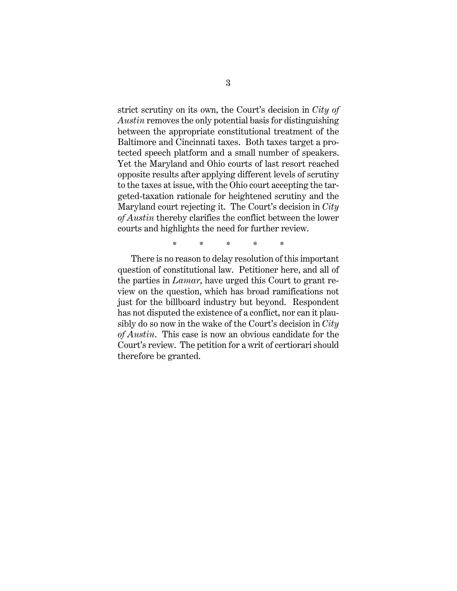strict scrutiny on its own, the Court's decision in *City of Austin* removes the only potential basis for distinguishing between the appropriate constitutional treatment of the Baltimore and Cincinnati taxes. Both taxes target a protected speech platform and a small number of speakers. Yet the Maryland and Ohio courts of last resort reached opposite results after applying different levels of scrutiny to the taxes at issue, with the Ohio court accepting the targeted-taxation rationale for heightened scrutiny and the Maryland court rejecting it. The Court's decision in *City of Austin* thereby clarifies the conflict between the lower courts and highlights the need for further review.

\* \* \* \* \*

There is no reason to delay resolution of this important question of constitutional law. Petitioner here, and all of the parties in *Lamar*, have urged this Court to grant review on the question, which has broad ramifications not just for the billboard industry but beyond. Respondent has not disputed the existence of a conflict, nor can it plausibly do so now in the wake of the Court's decision in *City of Austin*. This case is now an obvious candidate for the Court's review. The petition for a writ of certiorari should therefore be granted.